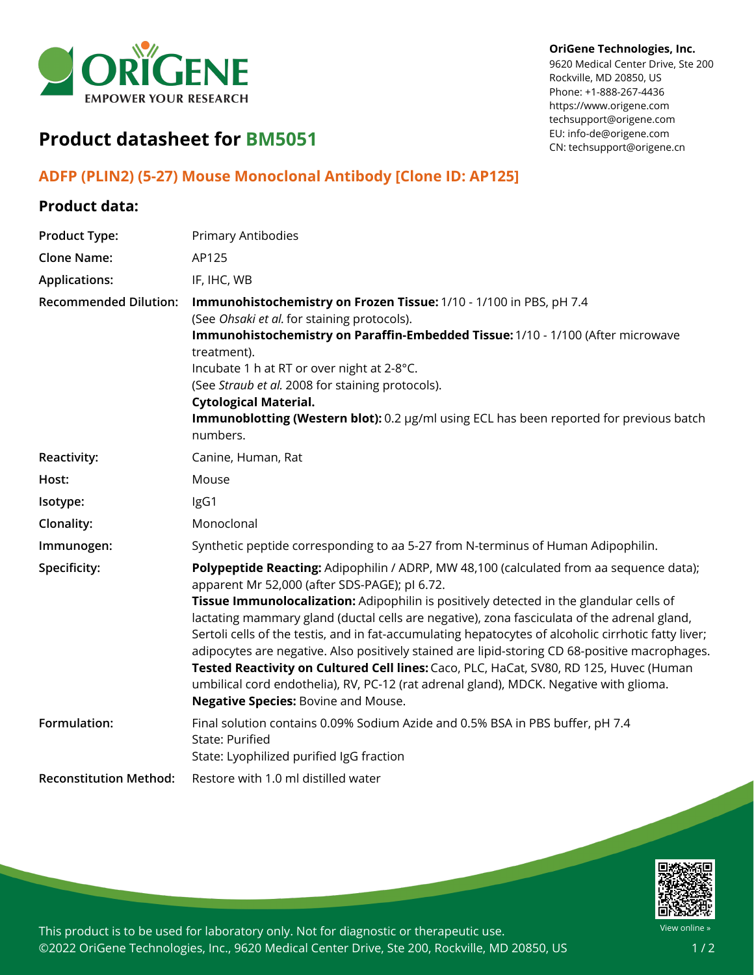

## **OriGene Technologies, Inc.**

9620 Medical Center Drive, Ste 200 Rockville, MD 20850, US Phone: +1-888-267-4436 https://www.origene.com techsupport@origene.com EU: info-de@origene.com CN: techsupport@origene.cn

## **Product datasheet for BM5051**

## **ADFP (PLIN2) (5-27) Mouse Monoclonal Antibody [Clone ID: AP125]**

## **Product data:**

| <b>Product Type:</b>          | <b>Primary Antibodies</b>                                                                                                                                                                                                                                                                                                                                                                                                                                                                                                                                                                                                                                                                                                                                                      |
|-------------------------------|--------------------------------------------------------------------------------------------------------------------------------------------------------------------------------------------------------------------------------------------------------------------------------------------------------------------------------------------------------------------------------------------------------------------------------------------------------------------------------------------------------------------------------------------------------------------------------------------------------------------------------------------------------------------------------------------------------------------------------------------------------------------------------|
| <b>Clone Name:</b>            | AP125                                                                                                                                                                                                                                                                                                                                                                                                                                                                                                                                                                                                                                                                                                                                                                          |
| <b>Applications:</b>          | IF, IHC, WB                                                                                                                                                                                                                                                                                                                                                                                                                                                                                                                                                                                                                                                                                                                                                                    |
| <b>Recommended Dilution:</b>  | Immunohistochemistry on Frozen Tissue: 1/10 - 1/100 in PBS, pH 7.4<br>(See Ohsaki et al. for staining protocols).<br>Immunohistochemistry on Paraffin-Embedded Tissue: 1/10 - 1/100 (After microwave<br>treatment).<br>Incubate 1 h at RT or over night at 2-8°C.<br>(See Straub et al. 2008 for staining protocols).<br><b>Cytological Material.</b><br>Immunoblotting (Western blot): 0.2 µg/ml using ECL has been reported for previous batch<br>numbers.                                                                                                                                                                                                                                                                                                                   |
| Reactivity:                   | Canine, Human, Rat                                                                                                                                                                                                                                                                                                                                                                                                                                                                                                                                                                                                                                                                                                                                                             |
| Host:                         | Mouse                                                                                                                                                                                                                                                                                                                                                                                                                                                                                                                                                                                                                                                                                                                                                                          |
| Isotype:                      | IgG1                                                                                                                                                                                                                                                                                                                                                                                                                                                                                                                                                                                                                                                                                                                                                                           |
| Clonality:                    | Monoclonal                                                                                                                                                                                                                                                                                                                                                                                                                                                                                                                                                                                                                                                                                                                                                                     |
| Immunogen:                    | Synthetic peptide corresponding to aa 5-27 from N-terminus of Human Adipophilin.                                                                                                                                                                                                                                                                                                                                                                                                                                                                                                                                                                                                                                                                                               |
| Specificity:                  | Polypeptide Reacting: Adipophilin / ADRP, MW 48,100 (calculated from aa sequence data);<br>apparent Mr 52,000 (after SDS-PAGE); pl 6.72.<br>Tissue Immunolocalization: Adipophilin is positively detected in the glandular cells of<br>lactating mammary gland (ductal cells are negative), zona fasciculata of the adrenal gland,<br>Sertoli cells of the testis, and in fat-accumulating hepatocytes of alcoholic cirrhotic fatty liver;<br>adipocytes are negative. Also positively stained are lipid-storing CD 68-positive macrophages.<br>Tested Reactivity on Cultured Cell lines: Caco, PLC, HaCat, SV80, RD 125, Huvec (Human<br>umbilical cord endothelia), RV, PC-12 (rat adrenal gland), MDCK. Negative with glioma.<br><b>Negative Species: Bovine and Mouse.</b> |
| Formulation:                  | Final solution contains 0.09% Sodium Azide and 0.5% BSA in PBS buffer, pH 7.4<br>State: Purified<br>State: Lyophilized purified IgG fraction                                                                                                                                                                                                                                                                                                                                                                                                                                                                                                                                                                                                                                   |
| <b>Reconstitution Method:</b> | Restore with 1.0 ml distilled water                                                                                                                                                                                                                                                                                                                                                                                                                                                                                                                                                                                                                                                                                                                                            |



This product is to be used for laboratory only. Not for diagnostic or therapeutic use. ©2022 OriGene Technologies, Inc., 9620 Medical Center Drive, Ste 200, Rockville, MD 20850, US